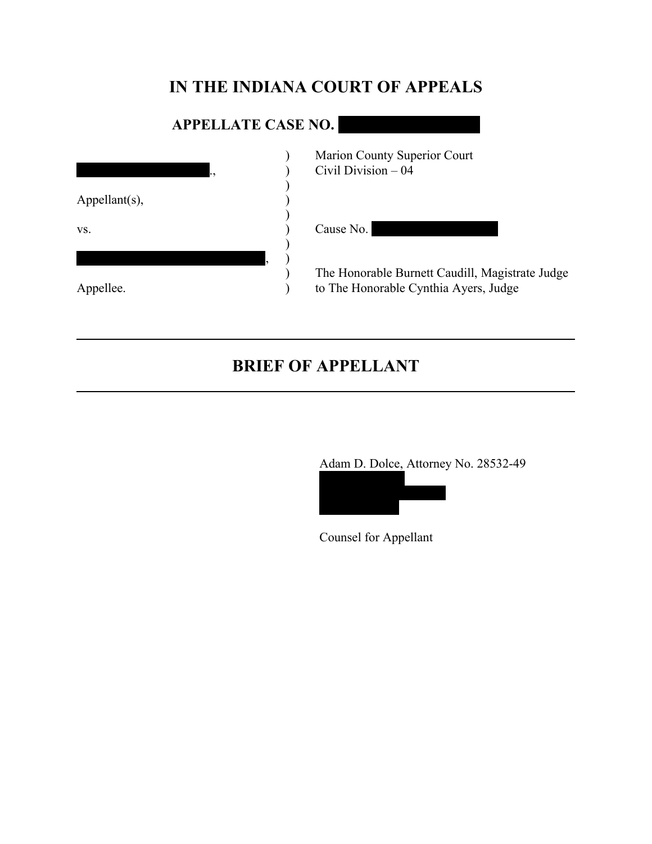# **IN THE INDIANA COURT OF APPEALS**

# **APPELLATE CASE NO.**

| ٠,               | Marion County Superior Court<br>Civil Division - 04                                      |
|------------------|------------------------------------------------------------------------------------------|
| $Appellant(s)$ , |                                                                                          |
| VS.              | Cause No.                                                                                |
|                  |                                                                                          |
| Appellee.        | The Honorable Burnett Caudill, Magistrate Judge<br>to The Honorable Cynthia Ayers, Judge |

# **BRIEF OF APPELLANT**

Adam D. Dolce, Attorney No. 28532-49



Counsel for Appellant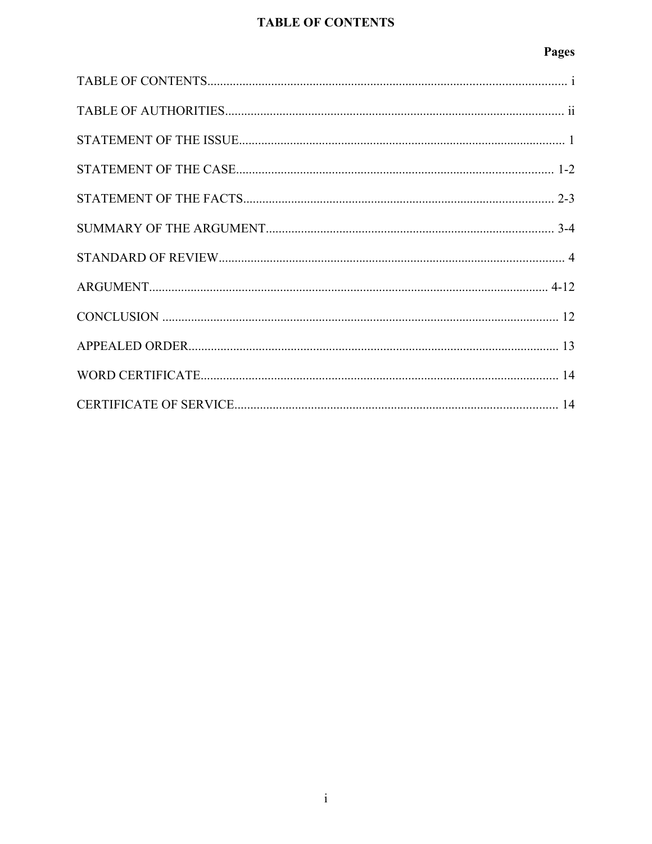## **TABLE OF CONTENTS**

## Pages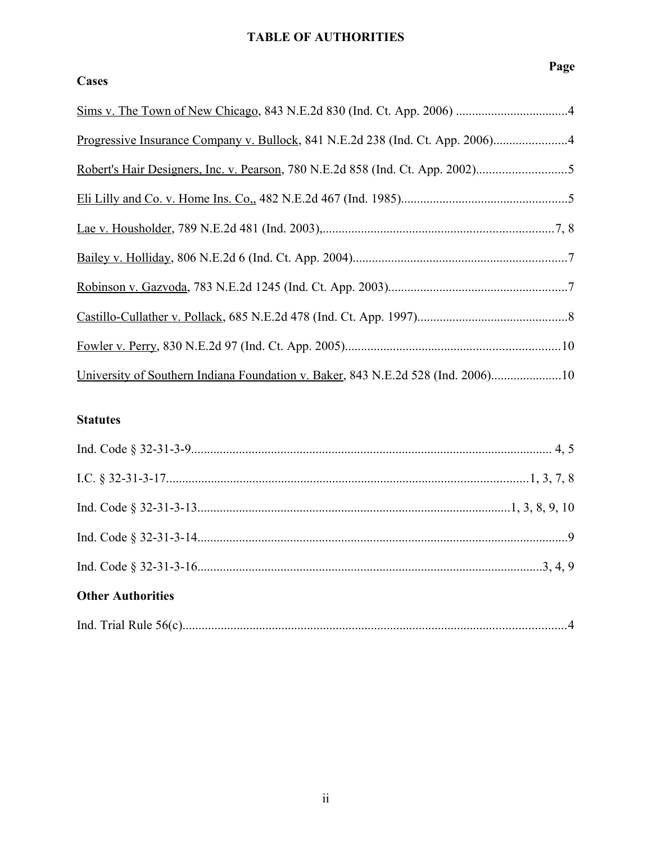## **TABLE OF AUTHORITIES**

## **Cases**

| Progressive Insurance Company v. Bullock, 841 N.E.2d 238 (Ind. Ct. App. 2006)    |  |
|----------------------------------------------------------------------------------|--|
|                                                                                  |  |
|                                                                                  |  |
|                                                                                  |  |
|                                                                                  |  |
|                                                                                  |  |
|                                                                                  |  |
|                                                                                  |  |
| University of Southern Indiana Foundation v. Baker, 843 N.E.2d 528 (Ind. 2006)10 |  |

## **Statutes**

| <b>Other Authorities</b> |  |
|--------------------------|--|
|                          |  |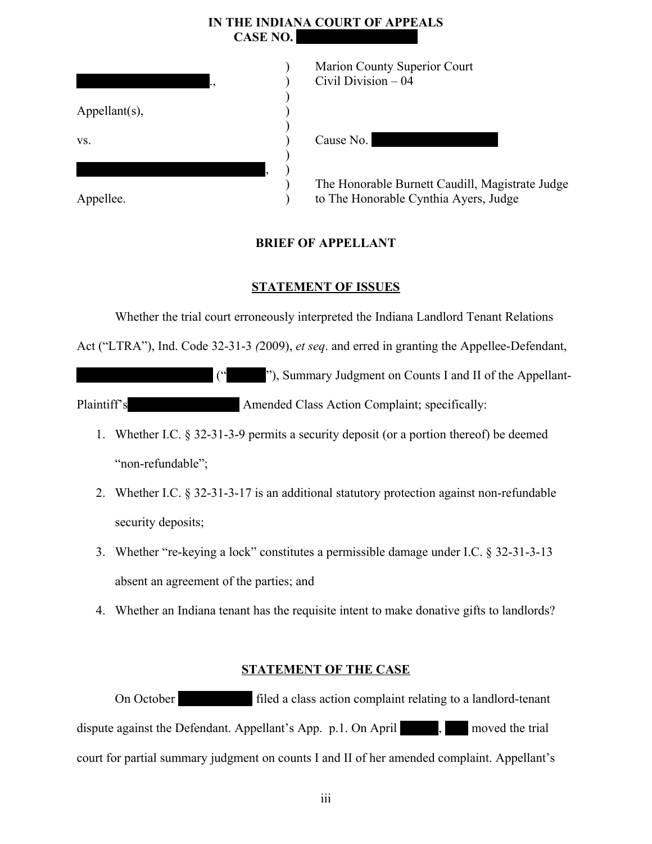## **IN THE INDIANA COURT OF APPEALS CASE NO.**

| ٠,                | Marion County Sup<br>Civil Division - 04 |
|-------------------|------------------------------------------|
| Appellant $(s)$ , |                                          |
|                   |                                          |
| VS.               | Cause No.                                |
|                   |                                          |
|                   | The Honorable Bur                        |
|                   | to The Honorable C                       |
| Appellee.         |                                          |

| Marion County Superior Court |
|------------------------------|
| Civil Division $-04$         |
|                              |

 $use No.$ 

Honorable Burnett Caudill, Magistrate Judge he Honorable Cynthia Ayers, Judge

## **BRIEF OF APPELLANT**

## **STATEMENT OF ISSUES**

Whether the trial court erroneously interpreted the Indiana Landlord Tenant Relations

Act ("LTRA"), Ind. Code 32-31-3 *(*2009), *et seq*. and erred in granting the Appellee-Defendant,

 $($ "), Summary Judgment on Counts I and II of the Appellant-Plaintiff's Amended Class Action Complaint; specifically:

- 1. Whether I.C. § 32-31-3-9 permits a security deposit (or a portion thereof) be deemed "non-refundable";
- 2. Whether I.C. § 32-31-3-17 is an additional statutory protection against non-refundable security deposits;
- 3. Whether "re-keying a lock" constitutes a permissible damage under I.C. § 32-31-3-13 absent an agreement of the parties; and
- 4. Whether an Indiana tenant has the requisite intent to make donative gifts to landlords?

## **STATEMENT OF THE CASE**

On October 19, 2009, 19, 2009, Tiled a class action complaint relating to a landlord-tenant dispute against the Defendant. Appellant's App. p.1. On April  $\blacksquare$ ,  $\blacksquare$  moved the trial court for partial summary judgment on counts I and II of her amended complaint. Appellant's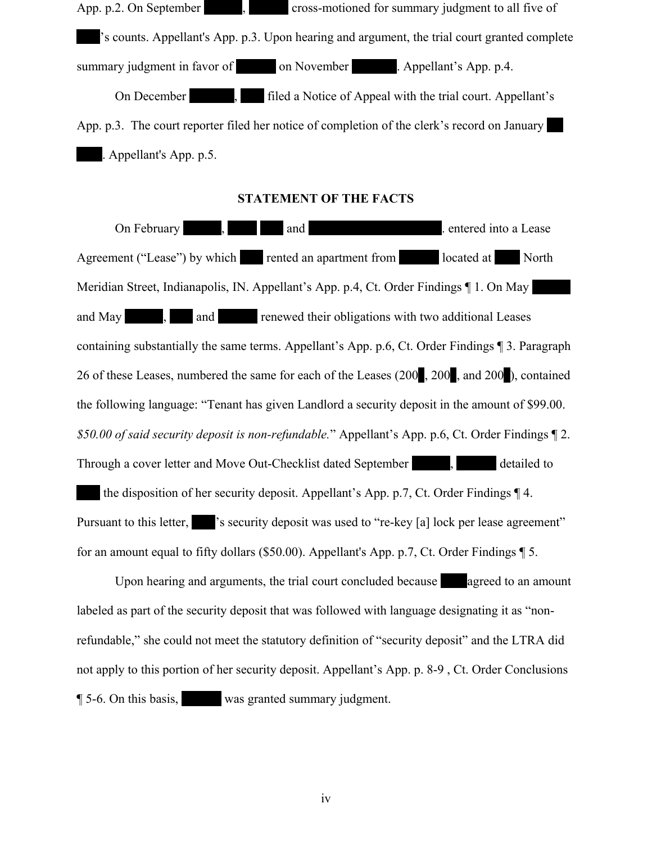App. p.2. On September  $\blacksquare$ , 2010, 2010, 2010, Statement is all five of 's counts. Appellant's App. p.3. Upon hearing and argument, the trial court granted complete summary judgment in favor of on November 22, Appellant's App. p.4. On December 15, 2011, 15, 2012, Tiled a Notice of Appeal with the trial court. Appellant's App. p.3. The court reporter filed her notice of completion of the clerk's record on January Appellant's App. p.5.

### **STATEMENT OF THE FACTS**

On February 1, 2006, 2006, 2006, 2006, 2006, 2006, 2006, 2006, 2006, 2006, 2006, 2006, 2006, 2006, 2006, 2006, 2006, 2006, 2006, 2006, 2006, 2006, 2006, 2006, 2006, 2006, 2006, 2006, 2006, 2006, 2006, 2006, 2006, 2006, 200 Agreement ("Lease") by which rented an apartment from located at 3540 North Meridian Street, Indianapolis, IN. Appellant's App. p.4, Ct. Order Findings  $\P$  1. On May and May 1, 2008, 2008, 2008, 2008, 2008, 2008, 2008, 2008, 2008, 2008, 2008, 2008, 2008, 2008, 2008, 2008, 200 containing substantially the same terms. Appellant's App. p.6, Ct. Order Findings ¶ 3. Paragraph 26 of these Leases, numbered the same for each of the Leases (200, 200, and 200), contained the following language: "Tenant has given Landlord a security deposit in the amount of \$99.00. *\$50.00 of said security deposit is non-refundable.*" Appellant's App. p.6, Ct. Order Findings ¶ 2. Through a cover letter and Move Out-Checklist dated September 3, 2009, 3009, Statistical detailed to the disposition of her security deposit. Appellant's App. p.7, Ct. Order Findings  $\P$  4. Pursuant to this letter,  $\blacksquare$  's security deposit was used to "re-key [a] lock per lease agreement" for an amount equal to fifty dollars (\$50.00). Appellant's App. p.7, Ct. Order Findings ¶ 5.

Upon hearing and arguments, the trial court concluded because agreed to an amount labeled as part of the security deposit that was followed with language designating it as "nonrefundable," she could not meet the statutory definition of "security deposit" and the LTRA did not apply to this portion of her security deposit. Appellant's App. p. 8-9 , Ct. Order Conclusions ¶ 5-6. On this basis, Stallard was granted summary judgment.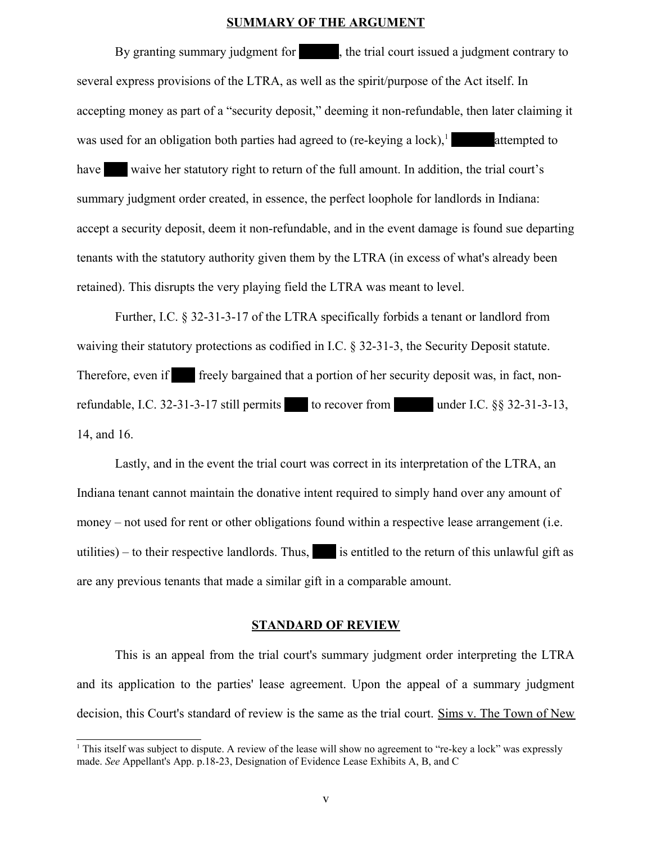#### **SUMMARY OF THE ARGUMENT**

By granting summary judgment for  $\blacksquare$ , the trial court issued a judgment contrary to several express provisions of the LTRA, as well as the spirit/purpose of the Act itself. In accepting money as part of a "security deposit," deeming it non-refundable, then later claiming it was used for an obligation both parties had agreed to (re-keying a lock), $\frac{1}{1}$  $\frac{1}{1}$  $\frac{1}{1}$  attempted to have vaive her statutory right to return of the full amount. In addition, the trial court's summary judgment order created, in essence, the perfect loophole for landlords in Indiana: accept a security deposit, deem it non-refundable, and in the event damage is found sue departing tenants with the statutory authority given them by the LTRA (in excess of what's already been retained). This disrupts the very playing field the LTRA was meant to level.

Further, I.C. § 32-31-3-17 of the LTRA specifically forbids a tenant or landlord from waiving their statutory protections as codified in I.C. § 32-31-3, the Security Deposit statute. Therefore, even if freely bargained that a portion of her security deposit was, in fact, nonrefundable, I.C. 32-31-3-17 still permits to recover from under I.C.  $\S$ § 32-31-3-13, 14, and 16.

Lastly, and in the event the trial court was correct in its interpretation of the LTRA, an Indiana tenant cannot maintain the donative intent required to simply hand over any amount of money – not used for rent or other obligations found within a respective lease arrangement (i.e. utilities) – to their respective landlords. Thus, is entitled to the return of this unlawful gift as are any previous tenants that made a similar gift in a comparable amount.

#### **STANDARD OF REVIEW**

This is an appeal from the trial court's summary judgment order interpreting the LTRA and its application to the parties' lease agreement. Upon the appeal of a summary judgment decision, this Court's standard of review is the same as the trial court. Sims v. The Town of New

<span id="page-5-0"></span><sup>1</sup> This itself was subject to dispute. A review of the lease will show no agreement to "re-key a lock" was expressly made. *See* Appellant's App. p.18-23, Designation of Evidence Lease Exhibits A, B, and C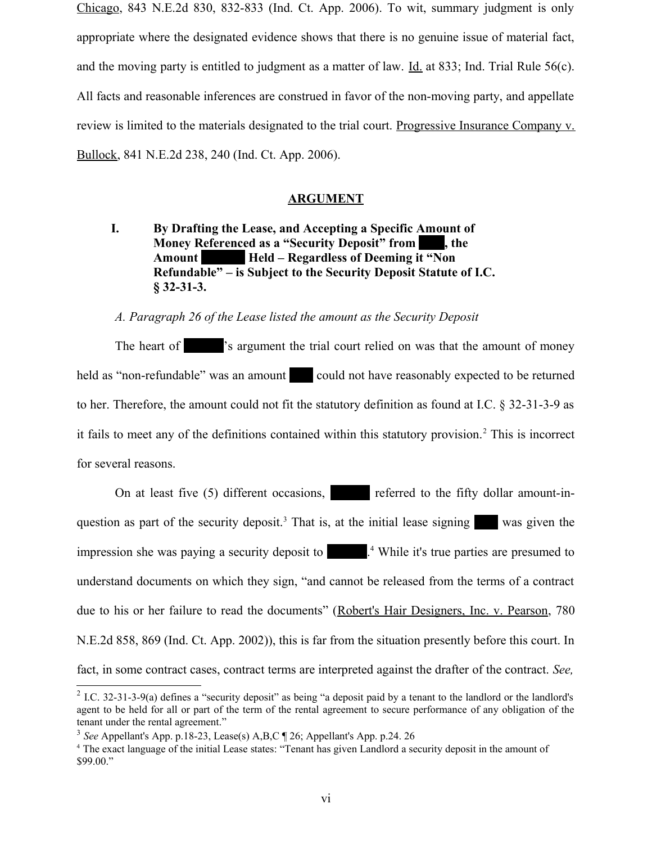Chicago, 843 N.E.2d 830, 832-833 (Ind. Ct. App. 2006). To wit, summary judgment is only appropriate where the designated evidence shows that there is no genuine issue of material fact, and the moving party is entitled to judgment as a matter of law. Id. at 833; Ind. Trial Rule 56(c). All facts and reasonable inferences are construed in favor of the non-moving party, and appellate review is limited to the materials designated to the trial court. Progressive Insurance Company v. Bullock, 841 N.E.2d 238, 240 (Ind. Ct. App. 2006).

#### **ARGUMENT**

## **I. By Drafting the Lease, and Accepting a Specific Amount of Money Referenced as a "Security Deposit" from** , the Amount **Held – Regardless of Deeming it "Non Refundable" – is Subject to the Security Deposit Statute of I.C. § 32-31-3.**

### *A. Paragraph 26 of the Lease listed the amount as the Security Deposit*

The heart of Starlard's argument the trial court relied on was that the amount of money held as "non-refundable" was an amount could not have reasonably expected to be returned to her. Therefore, the amount could not fit the statutory definition as found at I.C. § 32-31-3-9 as it fails to meet any of the definitions contained within this statutory provision.<sup>[2](#page-6-0)</sup> This is incorrect for several reasons.

On at least five (5) different occasions, referred to the fifty dollar amount-in-question as part of the security deposit.<sup>[3](#page-6-1)</sup> That is, at the initial lease signing was given the impression she was paying a security deposit to  $\blacksquare$ <sup>[4](#page-6-2)</sup> While it's true parties are presumed to understand documents on which they sign, "and cannot be released from the terms of a contract due to his or her failure to read the documents" (Robert's Hair Designers, Inc. v. Pearson, 780 N.E.2d 858, 869 (Ind. Ct. App. 2002)), this is far from the situation presently before this court. In fact, in some contract cases, contract terms are interpreted against the drafter of the contract. *See,*

<span id="page-6-0"></span><sup>&</sup>lt;sup>2</sup> I.C. 32-31-3-9(a) defines a "security deposit" as being "a deposit paid by a tenant to the landlord or the landlord's agent to be held for all or part of the term of the rental agreement to secure performance of any obligation of the tenant under the rental agreement."

<span id="page-6-1"></span><sup>3</sup> *See* Appellant's App. p.18-23, Lease(s) A,B,C ¶ 26; Appellant's App. p.24. 26

<span id="page-6-2"></span><sup>4</sup> The exact language of the initial Lease states: "Tenant has given Landlord a security deposit in the amount of \$99.00."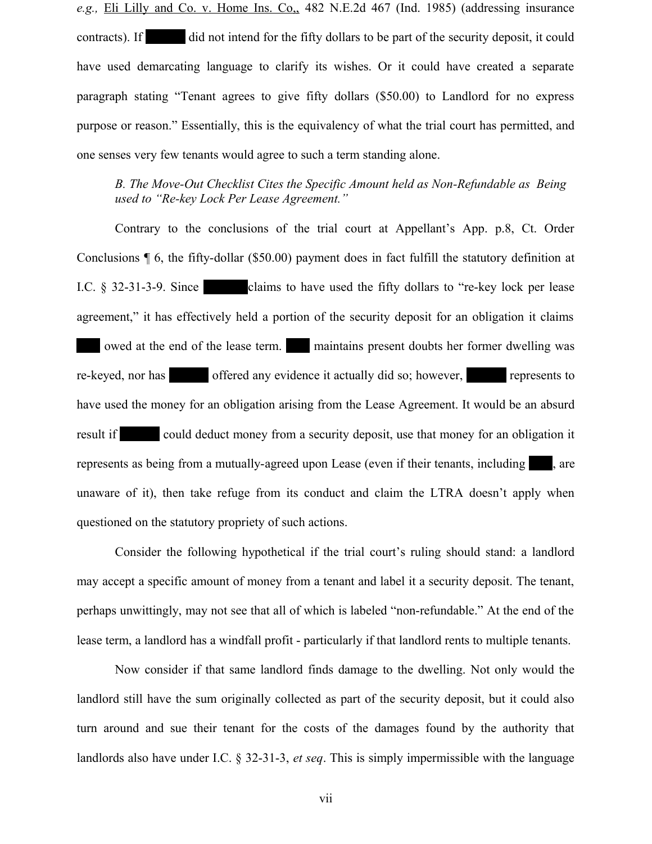*e.g.,* Eli Lilly and Co. v. Home Ins. Co,, 482 N.E.2d 467 (Ind. 1985) (addressing insurance contracts). If did not intend for the fifty dollars to be part of the security deposit, it could have used demarcating language to clarify its wishes. Or it could have created a separate paragraph stating "Tenant agrees to give fifty dollars (\$50.00) to Landlord for no express purpose or reason." Essentially, this is the equivalency of what the trial court has permitted, and one senses very few tenants would agree to such a term standing alone.

### *B. The Move-Out Checklist Cites the Specific Amount held as Non-Refundable as Being used to "Re-key Lock Per Lease Agreement."*

Contrary to the conclusions of the trial court at Appellant's App. p.8, Ct. Order Conclusions ¶ 6, the fifty-dollar (\$50.00) payment does in fact fulfill the statutory definition at I.C.  $\S$  32-31-3-9. Since claims to have used the fifty dollars to "re-key lock per lease agreement," it has effectively held a portion of the security deposit for an obligation it claims owed at the end of the lease term. In maintains present doubts her former dwelling was re-keyed, nor has offered any evidence it actually did so; however, represents to have used the money for an obligation arising from the Lease Agreement. It would be an absurd result if could deduct money from a security deposit, use that money for an obligation it represents as being from a mutually-agreed upon Lease (even if their tenants, including are unaware of it), then take refuge from its conduct and claim the LTRA doesn't apply when questioned on the statutory propriety of such actions.

Consider the following hypothetical if the trial court's ruling should stand: a landlord may accept a specific amount of money from a tenant and label it a security deposit. The tenant, perhaps unwittingly, may not see that all of which is labeled "non-refundable." At the end of the lease term, a landlord has a windfall profit - particularly if that landlord rents to multiple tenants.

Now consider if that same landlord finds damage to the dwelling. Not only would the landlord still have the sum originally collected as part of the security deposit, but it could also turn around and sue their tenant for the costs of the damages found by the authority that landlords also have under I.C. § 32-31-3, *et seq*. This is simply impermissible with the language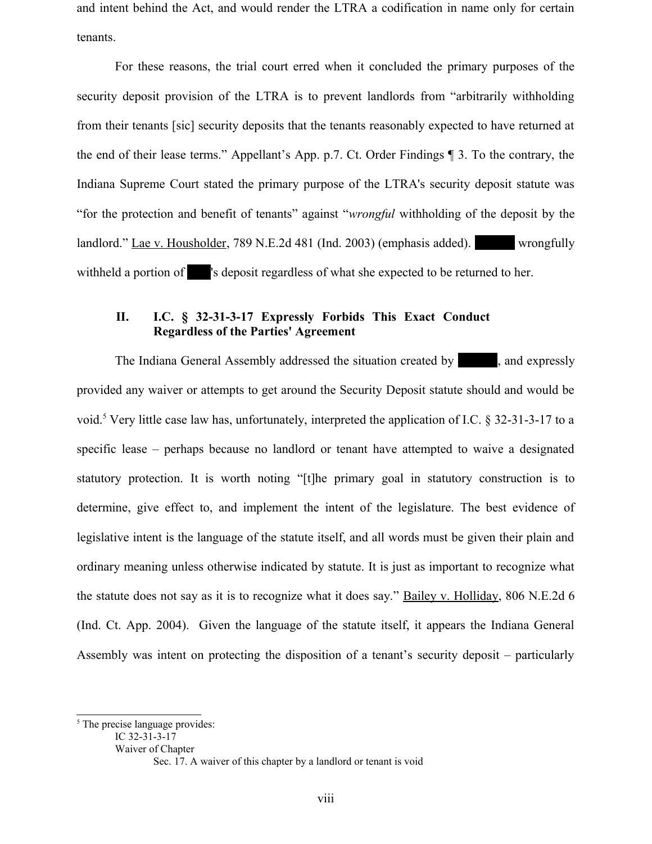and intent behind the Act, and would render the LTRA a codification in name only for certain tenants.

For these reasons, the trial court erred when it concluded the primary purposes of the security deposit provision of the LTRA is to prevent landlords from "arbitrarily withholding from their tenants [sic] security deposits that the tenants reasonably expected to have returned at the end of their lease terms." Appellant's App. p.7. Ct. Order Findings ¶ 3. To the contrary, the Indiana Supreme Court stated the primary purpose of the LTRA's security deposit statute was "for the protection and benefit of tenants" against "*wrongful* withholding of the deposit by the landlord." Lae v. Housholder, 789 N.E.2d 481 (Ind. 2003) (emphasis added). Wrongfully withheld a portion of zero 's deposit regardless of what she expected to be returned to her.

## **II. I.C. § 32-31-3-17 Expressly Forbids This Exact Conduct Regardless of the Parties' Agreement**

The Indiana General Assembly addressed the situation created by standing and expressly provided any waiver or attempts to get around the Security Deposit statute should and would be void.<sup>[5](#page-8-0)</sup> Very little case law has, unfortunately, interpreted the application of I.C. § 32-31-3-17 to a specific lease – perhaps because no landlord or tenant have attempted to waive a designated statutory protection. It is worth noting "[t]he primary goal in statutory construction is to determine, give effect to, and implement the intent of the legislature. The best evidence of legislative intent is the language of the statute itself, and all words must be given their plain and ordinary meaning unless otherwise indicated by statute. It is just as important to recognize what the statute does not say as it is to recognize what it does say." Bailey v. Holliday, 806 N.E.2d 6 (Ind. Ct. App. 2004). Given the language of the statute itself, it appears the Indiana General Assembly was intent on protecting the disposition of a tenant's security deposit – particularly

Waiver of Chapter

<span id="page-8-0"></span><sup>&</sup>lt;sup>5</sup> The precise language provides:

IC 32-31-3-17

Sec. 17. A waiver of this chapter by a landlord or tenant is void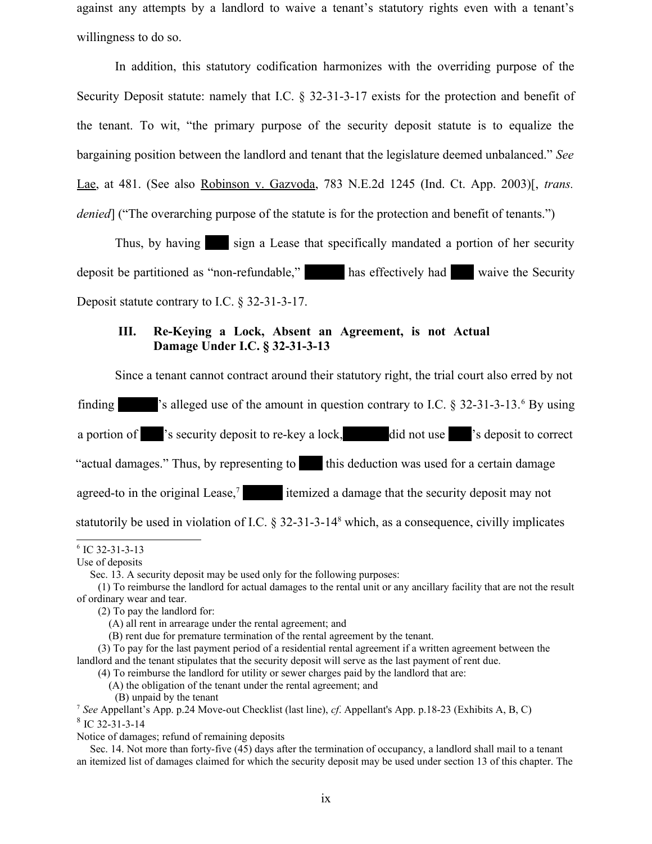against any attempts by a landlord to waive a tenant's statutory rights even with a tenant's willingness to do so.

In addition, this statutory codification harmonizes with the overriding purpose of the Security Deposit statute: namely that I.C. § 32-31-3-17 exists for the protection and benefit of the tenant. To wit, "the primary purpose of the security deposit statute is to equalize the bargaining position between the landlord and tenant that the legislature deemed unbalanced." *See* Lae, at 481. (See also Robinson v. Gazvoda, 783 N.E.2d 1245 (Ind. Ct. App. 2003)[, *trans. denied*] ("The overarching purpose of the statute is for the protection and benefit of tenants.")

Thus, by having sign a Lease that specifically mandated a portion of her security deposit be partitioned as "non-refundable," has effectively had vaive the Security Deposit statute contrary to I.C. § 32-31-3-17.

### **III. Re-Keying a Lock, Absent an Agreement, is not Actual Damage Under I.C. § 32-31-3-13**

Since a tenant cannot contract around their statutory right, the trial court also erred by not

finding  $\blacksquare$  's alleged use of the amount in question contrary to I.C. § 32-31-3-13.<sup>[6](#page-9-0)</sup> By using

a portion of z is security deposit to re-key a lock, did not use zero is deposit to correct

"actual damages." Thus, by representing to this deduction was used for a certain damage

agreed-to in the original Lease,<sup> $7$ </sup> itemized a damage that the security deposit may not

statutorily be used in violation of I.C. § 32-31-3-14<sup>[8](#page-9-2)</sup> which, as a consequence, civilly implicates

<span id="page-9-0"></span><sup>6</sup> IC 32-31-3-13

Use of deposits

Sec. 13. A security deposit may be used only for the following purposes:

<sup>(1)</sup> To reimburse the landlord for actual damages to the rental unit or any ancillary facility that are not the result of ordinary wear and tear.

<sup>(2)</sup> To pay the landlord for:

<sup>(</sup>A) all rent in arrearage under the rental agreement; and

<sup>(</sup>B) rent due for premature termination of the rental agreement by the tenant.

<sup>(3)</sup> To pay for the last payment period of a residential rental agreement if a written agreement between the landlord and the tenant stipulates that the security deposit will serve as the last payment of rent due.

<sup>(4)</sup> To reimburse the landlord for utility or sewer charges paid by the landlord that are:

<sup>(</sup>A) the obligation of the tenant under the rental agreement; and

<sup>(</sup>B) unpaid by the tenant

<span id="page-9-2"></span><span id="page-9-1"></span><sup>7</sup> *See* Appellant's App. p.24 Move-out Checklist (last line), *cf*. Appellant's App. p.18-23 (Exhibits A, B, C) 8 IC 32-31-3-14

Notice of damages; refund of remaining deposits

Sec. 14. Not more than forty-five (45) days after the termination of occupancy, a landlord shall mail to a tenant an itemized list of damages claimed for which the security deposit may be used under section 13 of this chapter. The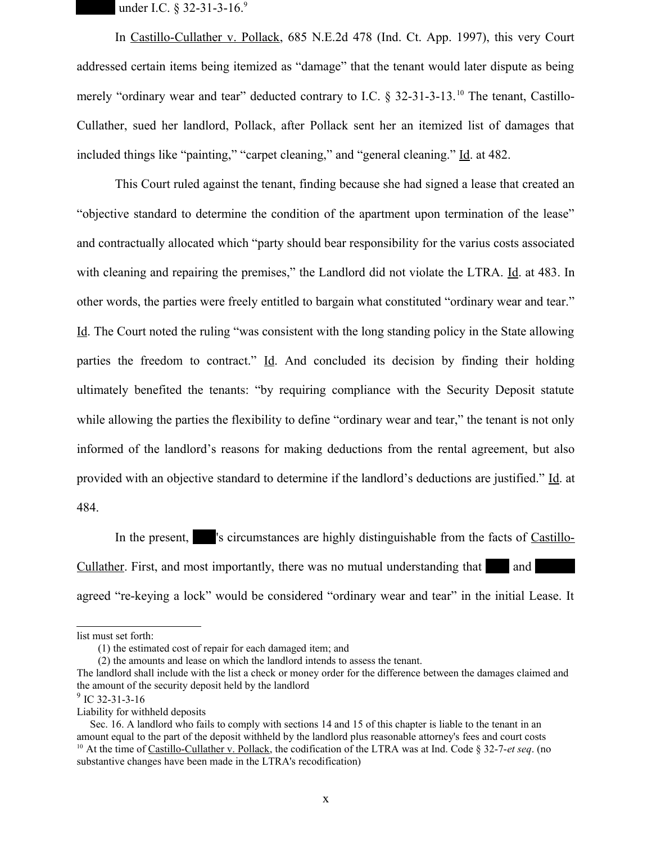under I.C. § 32-31-3-16.[9](#page-10-0)

In Castillo-Cullather v. Pollack, 685 N.E.2d 478 (Ind. Ct. App. 1997), this very Court addressed certain items being itemized as "damage" that the tenant would later dispute as being merely "ordinary wear and tear" deducted contrary to I.C.  $\&$  32-31-3-13.<sup>[10](#page-10-1)</sup> The tenant, Castillo-Cullather, sued her landlord, Pollack, after Pollack sent her an itemized list of damages that included things like "painting," "carpet cleaning," and "general cleaning." Id. at 482.

This Court ruled against the tenant, finding because she had signed a lease that created an "objective standard to determine the condition of the apartment upon termination of the lease" and contractually allocated which "party should bear responsibility for the varius costs associated with cleaning and repairing the premises," the Landlord did not violate the LTRA. Id. at 483. In other words, the parties were freely entitled to bargain what constituted "ordinary wear and tear." Id. The Court noted the ruling "was consistent with the long standing policy in the State allowing parties the freedom to contract." Id. And concluded its decision by finding their holding ultimately benefited the tenants: "by requiring compliance with the Security Deposit statute while allowing the parties the flexibility to define "ordinary wear and tear," the tenant is not only informed of the landlord's reasons for making deductions from the rental agreement, but also provided with an objective standard to determine if the landlord's deductions are justified." Id. at 484.

In the present, Senty is circumstances are highly distinguishable from the facts of Castillo-Cullather. First, and most importantly, there was no mutual understanding that and agreed "re-keying a lock" would be considered "ordinary wear and tear" in the initial Lease. It

list must set forth:

<sup>(1)</sup> the estimated cost of repair for each damaged item; and

<sup>(2)</sup> the amounts and lease on which the landlord intends to assess the tenant.

The landlord shall include with the list a check or money order for the difference between the damages claimed and the amount of the security deposit held by the landlord

<span id="page-10-0"></span><sup>&</sup>lt;sup>9</sup> IC 32-31-3-16

Liability for withheld deposits

<span id="page-10-1"></span>Sec. 16. A landlord who fails to comply with sections 14 and 15 of this chapter is liable to the tenant in an amount equal to the part of the deposit withheld by the landlord plus reasonable attorney's fees and court costs <sup>10</sup> At the time of Castillo-Cullather v. Pollack, the codification of the LTRA was at Ind. Code § 32-7-*et seq*. (no substantive changes have been made in the LTRA's recodification)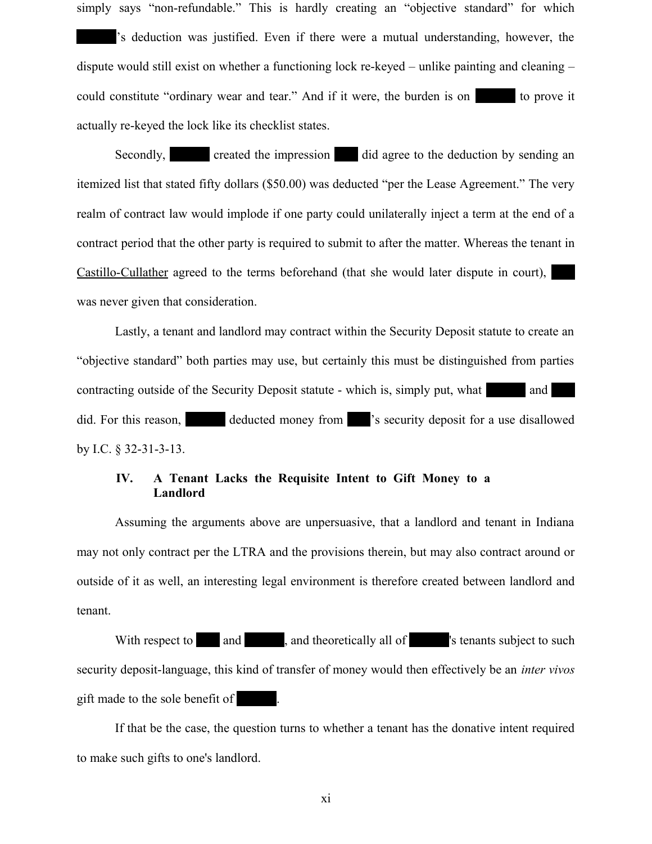simply says "non-refundable." This is hardly creating an "objective standard" for which 's deduction was justified. Even if there were a mutual understanding, however, the dispute would still exist on whether a functioning lock re-keyed – unlike painting and cleaning – could constitute "ordinary wear and tear." And if it were, the burden is on state to prove it

actually re-keyed the lock like its checklist states.

Secondly, Secondly, Secondly, Secondly, Secondly, Secondly, Secondly, Secondly, Secondly, Secondly, Secondly, Secondly, Secondly, Secondly, Secondly, Secondly, Secondly, Secondly, Secondly, Secondly, Secondly, Secondly, Se itemized list that stated fifty dollars (\$50.00) was deducted "per the Lease Agreement." The very realm of contract law would implode if one party could unilaterally inject a term at the end of a contract period that the other party is required to submit to after the matter. Whereas the tenant in Castillo-Cullather agreed to the terms beforehand (that she would later dispute in court), was never given that consideration.

Lastly, a tenant and landlord may contract within the Security Deposit statute to create an "objective standard" both parties may use, but certainly this must be distinguished from parties contracting outside of the Security Deposit statute - which is, simply put, what and did. For this reason, deducted money from  $\blacksquare$  's security deposit for a use disallowed by I.C. § 32-31-3-13.

### **IV. A Tenant Lacks the Requisite Intent to Gift Money to a Landlord**

Assuming the arguments above are unpersuasive, that a landlord and tenant in Indiana may not only contract per the LTRA and the provisions therein, but may also contract around or outside of it as well, an interesting legal environment is therefore created between landlord and tenant.

With respect to  $\Box$  and  $\Box$ , and theoretically all of  $\Box$  stallard is tenants subject to such security deposit-language, this kind of transfer of money would then effectively be an *inter vivos* gift made to the sole benefit of

If that be the case, the question turns to whether a tenant has the donative intent required to make such gifts to one's landlord.

xi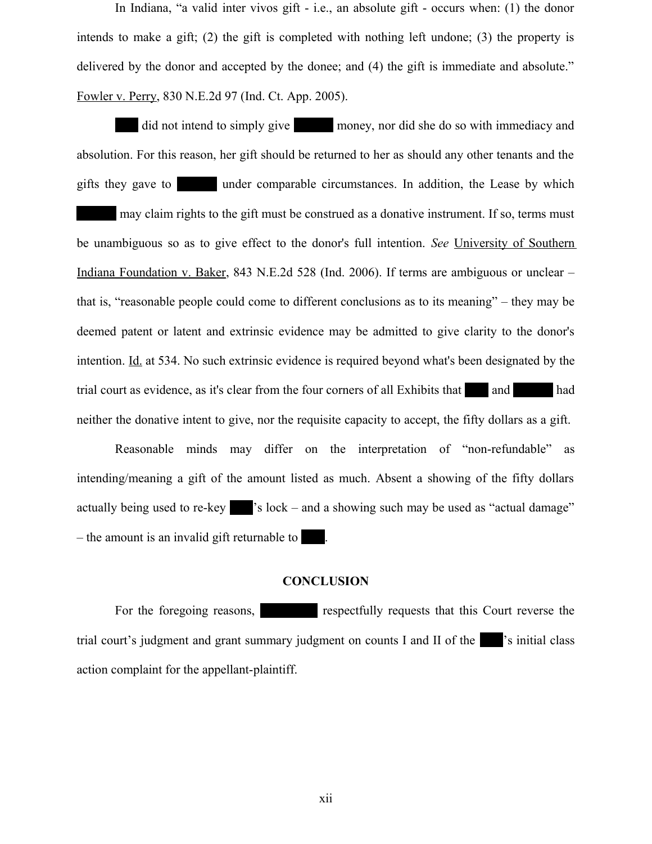In Indiana, "a valid inter vivos gift - i.e., an absolute gift - occurs when: (1) the donor intends to make a gift; (2) the gift is completed with nothing left undone; (3) the property is delivered by the donor and accepted by the donee; and (4) the gift is immediate and absolute." Fowler v. Perry, 830 N.E.2d 97 (Ind. Ct. App. 2005).

did not intend to simply give money, nor did she do so with immediacy and absolution. For this reason, her gift should be returned to her as should any other tenants and the gifts they gave to state under comparable circumstances. In addition, the Lease by which may claim rights to the gift must be construed as a donative instrument. If so, terms must be unambiguous so as to give effect to the donor's full intention. *See* University of Southern Indiana Foundation v. Baker, 843 N.E.2d 528 (Ind. 2006). If terms are ambiguous or unclear – that is, "reasonable people could come to different conclusions as to its meaning" – they may be deemed patent or latent and extrinsic evidence may be admitted to give clarity to the donor's intention. Id. at 534. No such extrinsic evidence is required beyond what's been designated by the trial court as evidence, as it's clear from the four corners of all Exhibits that and had neither the donative intent to give, nor the requisite capacity to accept, the fifty dollars as a gift.

Reasonable minds may differ on the interpretation of "non-refundable" as intending/meaning a gift of the amount listed as much. Absent a showing of the fifty dollars actually being used to re-key  $\blacksquare$  's lock – and a showing such may be used as "actual damage"  $-$  the amount is an invalid gift returnable to  $\blacksquare$ .

#### **CONCLUSION**

For the foregoing reasons, Temperature respectfully requests that this Court reverse the trial court's judgment and grant summary judgment on counts I and II of the zential class action complaint for the appellant-plaintiff.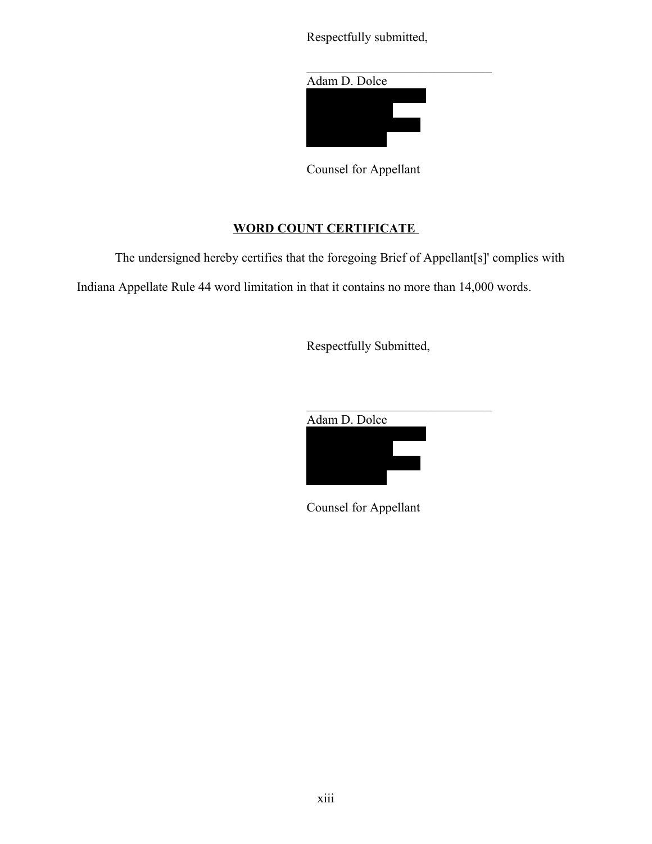Respectfully submitted,



Counsel for Appellant

## **WORD COUNT CERTIFICATE**

The undersigned hereby certifies that the foregoing Brief of Appellant[s]' complies with Indiana Appellate Rule 44 word limitation in that it contains no more than 14,000 words.

Respectfully Submitted,



Counsel for Appellant